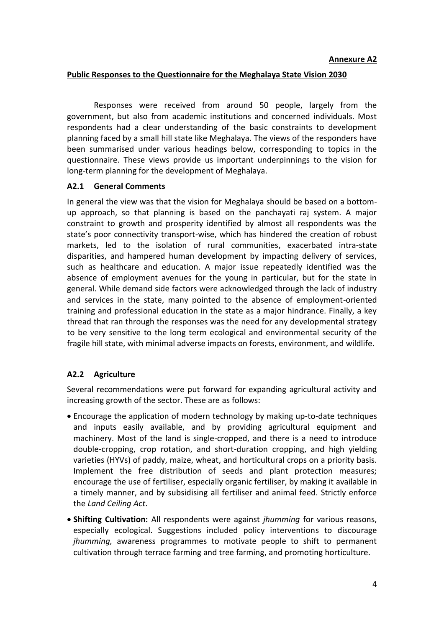## **Public Responses to the Questionnaire for the Meghalaya State Vision 2030**

Responses were received from around 50 people, largely from the government, but also from academic institutions and concerned individuals. Most respondents had a clear understanding of the basic constraints to development planning faced by a small hill state like Meghalaya. The views of the responders have been summarised under various headings below, corresponding to topics in the questionnaire. These views provide us important underpinnings to the vision for long-term planning for the development of Meghalaya.

## **A2.1 General Comments**

In general the view was that the vision for Meghalaya should be based on a bottomup approach, so that planning is based on the panchayati raj system. A major constraint to growth and prosperity identified by almost all respondents was the state's poor connectivity transport-wise, which has hindered the creation of robust markets, led to the isolation of rural communities, exacerbated intra-state disparities, and hampered human development by impacting delivery of services, such as healthcare and education. A major issue repeatedly identified was the absence of employment avenues for the young in particular, but for the state in general. While demand side factors were acknowledged through the lack of industry and services in the state, many pointed to the absence of employment-oriented training and professional education in the state as a major hindrance. Finally, a key thread that ran through the responses was the need for any developmental strategy to be very sensitive to the long term ecological and environmental security of the fragile hill state, with minimal adverse impacts on forests, environment, and wildlife.

# **A2.2 Agriculture**

Several recommendations were put forward for expanding agricultural activity and increasing growth of the sector. These are as follows:

- Encourage the application of modern technology by making up-to-date techniques and inputs easily available, and by providing agricultural equipment and machinery. Most of the land is single-cropped, and there is a need to introduce double-cropping, crop rotation, and short-duration cropping, and high yielding varieties (HYVs) of paddy, maize, wheat, and horticultural crops on a priority basis. Implement the free distribution of seeds and plant protection measures; encourage the use of fertiliser, especially organic fertiliser, by making it available in a timely manner, and by subsidising all fertiliser and animal feed. Strictly enforce the *Land Ceiling Act*.
- **Shifting Cultivation:** All respondents were against *jhumming* for various reasons, especially ecological. Suggestions included policy interventions to discourage *jhumming,* awareness programmes to motivate people to shift to permanent cultivation through terrace farming and tree farming, and promoting horticulture.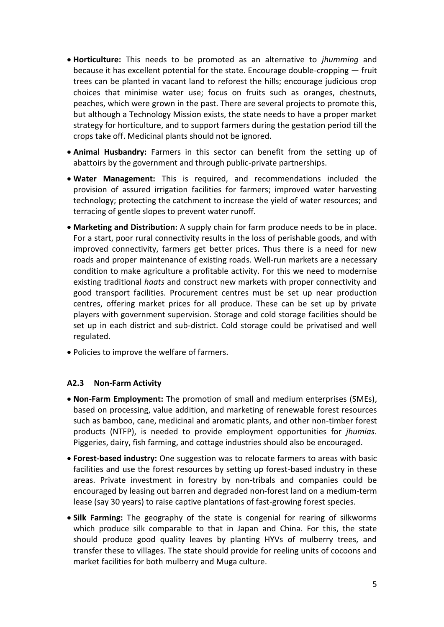- **Horticulture:** This needs to be promoted as an alternative to *jhumming* and because it has excellent potential for the state. Encourage double-cropping — fruit trees can be planted in vacant land to reforest the hills; encourage judicious crop choices that minimise water use; focus on fruits such as oranges, chestnuts, peaches, which were grown in the past. There are several projects to promote this, but although a Technology Mission exists, the state needs to have a proper market strategy for horticulture, and to support farmers during the gestation period till the crops take off. Medicinal plants should not be ignored.
- **Animal Husbandry:** Farmers in this sector can benefit from the setting up of abattoirs by the government and through public-private partnerships.
- **Water Management:** This is required, and recommendations included the provision of assured irrigation facilities for farmers; improved water harvesting technology; protecting the catchment to increase the yield of water resources; and terracing of gentle slopes to prevent water runoff.
- **Marketing and Distribution:** A supply chain for farm produce needs to be in place. For a start, poor rural connectivity results in the loss of perishable goods, and with improved connectivity, farmers get better prices. Thus there is a need for new roads and proper maintenance of existing roads. Well-run markets are a necessary condition to make agriculture a profitable activity. For this we need to modernise existing traditional *haats* and construct new markets with proper connectivity and good transport facilities. Procurement centres must be set up near production centres, offering market prices for all produce. These can be set up by private players with government supervision. Storage and cold storage facilities should be set up in each district and sub-district. Cold storage could be privatised and well regulated.
- Policies to improve the welfare of farmers.

### **A2.3 Non-Farm Activity**

- **Non-Farm Employment:** The promotion of small and medium enterprises (SMEs), based on processing, value addition, and marketing of renewable forest resources such as bamboo, cane, medicinal and aromatic plants, and other non-timber forest products (NTFP), is needed to provide employment opportunities for *jhumias.* Piggeries, dairy, fish farming, and cottage industries should also be encouraged.
- **Forest-based industry:** One suggestion was to relocate farmers to areas with basic facilities and use the forest resources by setting up forest-based industry in these areas. Private investment in forestry by non-tribals and companies could be encouraged by leasing out barren and degraded non-forest land on a medium-term lease (say 30 years) to raise captive plantations of fast-growing forest species.
- **Silk Farming:** The geography of the state is congenial for rearing of silkworms which produce silk comparable to that in Japan and China. For this, the state should produce good quality leaves by planting HYVs of mulberry trees, and transfer these to villages. The state should provide for reeling units of cocoons and market facilities for both mulberry and Muga culture.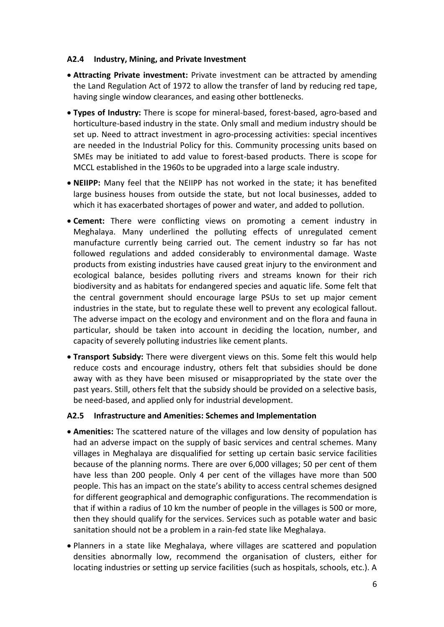### **A2.4 Industry, Mining, and Private Investment**

- **Attracting Private investment:** Private investment can be attracted by amending the Land Regulation Act of 1972 to allow the transfer of land by reducing red tape, having single window clearances, and easing other bottlenecks.
- **Types of Industry:** There is scope for mineral-based, forest-based, agro-based and horticulture-based industry in the state. Only small and medium industry should be set up. Need to attract investment in agro-processing activities: special incentives are needed in the Industrial Policy for this. Community processing units based on SMEs may be initiated to add value to forest-based products. There is scope for MCCL established in the 1960s to be upgraded into a large scale industry.
- **NEIIPP:** Many feel that the NEIIPP has not worked in the state; it has benefited large business houses from outside the state, but not local businesses, added to which it has exacerbated shortages of power and water, and added to pollution.
- **Cement:** There were conflicting views on promoting a cement industry in Meghalaya. Many underlined the polluting effects of unregulated cement manufacture currently being carried out. The cement industry so far has not followed regulations and added considerably to environmental damage. Waste products from existing industries have caused great injury to the environment and ecological balance, besides polluting rivers and streams known for their rich biodiversity and as habitats for endangered species and aquatic life. Some felt that the central government should encourage large PSUs to set up major cement industries in the state, but to regulate these well to prevent any ecological fallout. The adverse impact on the ecology and environment and on the flora and fauna in particular, should be taken into account in deciding the location, number, and capacity of severely polluting industries like cement plants.
- **Transport Subsidy:** There were divergent views on this. Some felt this would help reduce costs and encourage industry, others felt that subsidies should be done away with as they have been misused or misappropriated by the state over the past years. Still, others felt that the subsidy should be provided on a selective basis, be need-based, and applied only for industrial development.

### **A2.5 Infrastructure and Amenities: Schemes and Implementation**

- **Amenities:** The scattered nature of the villages and low density of population has had an adverse impact on the supply of basic services and central schemes. Many villages in Meghalaya are disqualified for setting up certain basic service facilities because of the planning norms. There are over 6,000 villages; 50 per cent of them have less than 200 people. Only 4 per cent of the villages have more than 500 people. This has an impact on the state's ability to access central schemes designed for different geographical and demographic configurations. The recommendation is that if within a radius of 10 km the number of people in the villages is 500 or more, then they should qualify for the services. Services such as potable water and basic sanitation should not be a problem in a rain-fed state like Meghalaya.
- Planners in a state like Meghalaya, where villages are scattered and population densities abnormally low, recommend the organisation of clusters, either for locating industries or setting up service facilities (such as hospitals, schools, etc.). A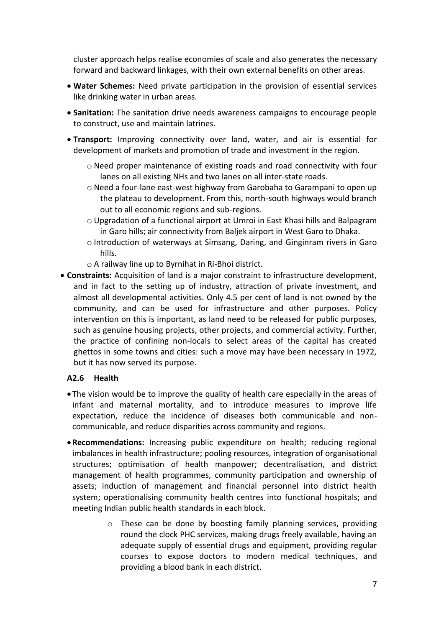cluster approach helps realise economies of scale and also generates the necessary forward and backward linkages, with their own external benefits on other areas.

- **Water Schemes:** Need private participation in the provision of essential services like drinking water in urban areas.
- **Sanitation:** The sanitation drive needs awareness campaigns to encourage people to construct, use and maintain latrines.
- **Transport:** Improving connectivity over land, water, and air is essential for development of markets and promotion of trade and investment in the region.
	- o Need proper maintenance of existing roads and road connectivity with four lanes on all existing NHs and two lanes on all inter-state roads.
	- o Need a four-lane east-west highway from Garobaha to Garampani to open up the plateau to development. From this, north-south highways would branch out to all economic regions and sub-regions.
	- $\circ$  Upgradation of a functional airport at Umroi in East Khasi hills and Balpagram in Garo hills; air connectivity from Baljek airport in West Garo to Dhaka.
	- o Introduction of waterways at Simsang, Daring, and Ginginram rivers in Garo hills.
	- o A railway line up to Byrnihat in Ri-Bhoi district.
- **Constraints:** Acquisition of land is a major constraint to infrastructure development, and in fact to the setting up of industry, attraction of private investment, and almost all developmental activities. Only 4.5 per cent of land is not owned by the community, and can be used for infrastructure and other purposes. Policy intervention on this is important, as land need to be released for public purposes, such as genuine housing projects, other projects, and commercial activity. Further, the practice of confining non-locals to select areas of the capital has created ghettos in some towns and cities: such a move may have been necessary in 1972, but it has now served its purpose.

# **A2.6 Health**

- The vision would be to improve the quality of health care especially in the areas of infant and maternal mortality, and to introduce measures to improve life expectation, reduce the incidence of diseases both communicable and noncommunicable, and reduce disparities across community and regions.
- **Recommendations:** Increasing public expenditure on health; reducing regional imbalances in health infrastructure; pooling resources, integration of organisational structures; optimisation of health manpower; decentralisation, and district management of health programmes, community participation and ownership of assets; induction of management and financial personnel into district health system; operationalising community health centres into functional hospitals; and meeting Indian public health standards in each block.
	- o These can be done by boosting family planning services, providing round the clock PHC services, making drugs freely available, having an adequate supply of essential drugs and equipment, providing regular courses to expose doctors to modern medical techniques, and providing a blood bank in each district.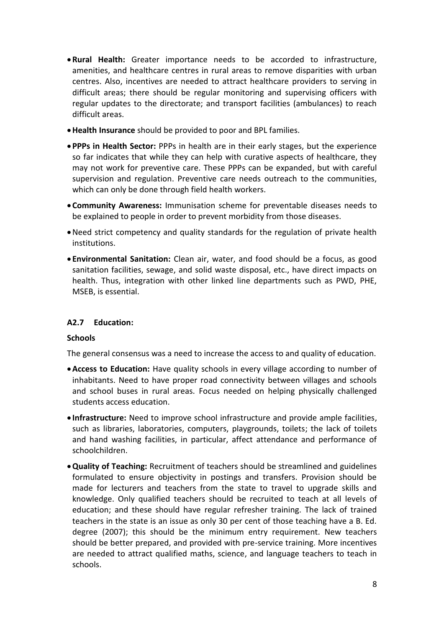- **Rural Health:** Greater importance needs to be accorded to infrastructure, amenities, and healthcare centres in rural areas to remove disparities with urban centres. Also, incentives are needed to attract healthcare providers to serving in difficult areas; there should be regular monitoring and supervising officers with regular updates to the directorate; and transport facilities (ambulances) to reach difficult areas.
- **Health Insurance** should be provided to poor and BPL families.
- **PPPs in Health Sector:** PPPs in health are in their early stages, but the experience so far indicates that while they can help with curative aspects of healthcare, they may not work for preventive care. These PPPs can be expanded, but with careful supervision and regulation. Preventive care needs outreach to the communities, which can only be done through field health workers.
- **Community Awareness:** Immunisation scheme for preventable diseases needs to be explained to people in order to prevent morbidity from those diseases.
- Need strict competency and quality standards for the regulation of private health institutions.
- **Environmental Sanitation:** Clean air, water, and food should be a focus, as good sanitation facilities, sewage, and solid waste disposal, etc., have direct impacts on health. Thus, integration with other linked line departments such as PWD, PHE, MSEB, is essential.

# **A2.7 Education:**

### **Schools**

The general consensus was a need to increase the access to and quality of education.

- **Access to Education:** Have quality schools in every village according to number of inhabitants. Need to have proper road connectivity between villages and schools and school buses in rural areas. Focus needed on helping physically challenged students access education.
- **Infrastructure:** Need to improve school infrastructure and provide ample facilities, such as libraries, laboratories, computers, playgrounds, toilets; the lack of toilets and hand washing facilities, in particular, affect attendance and performance of schoolchildren.
- **Quality of Teaching:** Recruitment of teachers should be streamlined and guidelines formulated to ensure objectivity in postings and transfers. Provision should be made for lecturers and teachers from the state to travel to upgrade skills and knowledge. Only qualified teachers should be recruited to teach at all levels of education; and these should have regular refresher training. The lack of trained teachers in the state is an issue as only 30 per cent of those teaching have a B. Ed. degree (2007); this should be the minimum entry requirement. New teachers should be better prepared, and provided with pre-service training. More incentives are needed to attract qualified maths, science, and language teachers to teach in schools.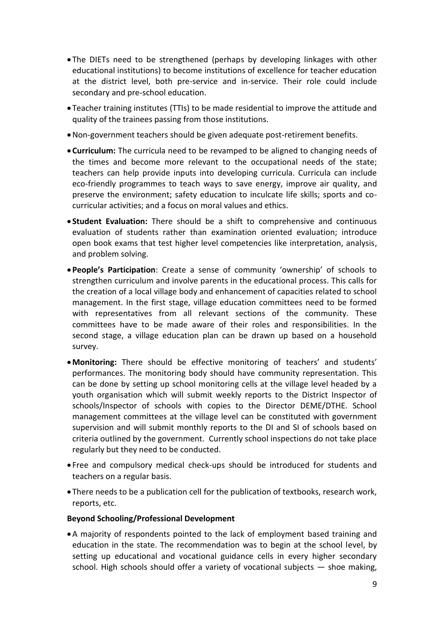- The DIETs need to be strengthened (perhaps by developing linkages with other educational institutions) to become institutions of excellence for teacher education at the district level, both pre-service and in-service. Their role could include secondary and pre-school education.
- Teacher training institutes (TTIs) to be made residential to improve the attitude and quality of the trainees passing from those institutions.
- Non-government teachers should be given adequate post-retirement benefits.
- **Curriculum:** The curricula need to be revamped to be aligned to changing needs of the times and become more relevant to the occupational needs of the state; teachers can help provide inputs into developing curricula. Curricula can include eco-friendly programmes to teach ways to save energy, improve air quality, and preserve the environment; safety education to inculcate life skills; sports and cocurricular activities; and a focus on moral values and ethics.
- **Student Evaluation:** There should be a shift to comprehensive and continuous evaluation of students rather than examination oriented evaluation; introduce open book exams that test higher level competencies like interpretation, analysis, and problem solving.
- **People's Participation**: Create a sense of community 'ownership' of schools to strengthen curriculum and involve parents in the educational process. This calls for the creation of a local village body and enhancement of capacities related to school management. In the first stage, village education committees need to be formed with representatives from all relevant sections of the community. These committees have to be made aware of their roles and responsibilities. In the second stage, a village education plan can be drawn up based on a household survey.
- **Monitoring:** There should be effective monitoring of teachers' and students' performances. The monitoring body should have community representation. This can be done by setting up school monitoring cells at the village level headed by a youth organisation which will submit weekly reports to the District Inspector of schools/Inspector of schools with copies to the Director DEME/DTHE. School management committees at the village level can be constituted with government supervision and will submit monthly reports to the DI and SI of schools based on criteria outlined by the government. Currently school inspections do not take place regularly but they need to be conducted.
- Free and compulsory medical check-ups should be introduced for students and teachers on a regular basis.
- There needs to be a publication cell for the publication of textbooks, research work, reports, etc.

### **Beyond Schooling/Professional Development**

A majority of respondents pointed to the lack of employment based training and education in the state. The recommendation was to begin at the school level, by setting up educational and vocational guidance cells in every higher secondary school. High schools should offer a variety of vocational subjects — shoe making,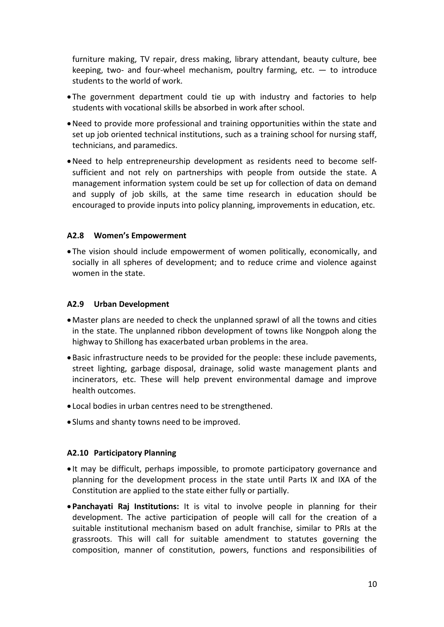furniture making, TV repair, dress making, library attendant, beauty culture, bee keeping, two- and four-wheel mechanism, poultry farming, etc.  $-$  to introduce students to the world of work.

- The government department could tie up with industry and factories to help students with vocational skills be absorbed in work after school.
- Need to provide more professional and training opportunities within the state and set up job oriented technical institutions, such as a training school for nursing staff, technicians, and paramedics.
- Need to help entrepreneurship development as residents need to become selfsufficient and not rely on partnerships with people from outside the state. A management information system could be set up for collection of data on demand and supply of job skills, at the same time research in education should be encouraged to provide inputs into policy planning, improvements in education, etc.

### **A2.8 Women's Empowerment**

 The vision should include empowerment of women politically, economically, and socially in all spheres of development; and to reduce crime and violence against women in the state.

### **A2.9 Urban Development**

- Master plans are needed to check the unplanned sprawl of all the towns and cities in the state. The unplanned ribbon development of towns like Nongpoh along the highway to Shillong has exacerbated urban problems in the area.
- Basic infrastructure needs to be provided for the people: these include pavements, street lighting, garbage disposal, drainage, solid waste management plants and incinerators, etc. These will help prevent environmental damage and improve health outcomes.
- Local bodies in urban centres need to be strengthened.
- Slums and shanty towns need to be improved.

### **A2.10 Participatory Planning**

- It may be difficult, perhaps impossible, to promote participatory governance and planning for the development process in the state until Parts IX and IXA of the Constitution are applied to the state either fully or partially.
- **Panchayati Raj Institutions:** It is vital to involve people in planning for their development. The active participation of people will call for the creation of a suitable institutional mechanism based on adult franchise, similar to PRIs at the grassroots. This will call for suitable amendment to statutes governing the composition, manner of constitution, powers, functions and responsibilities of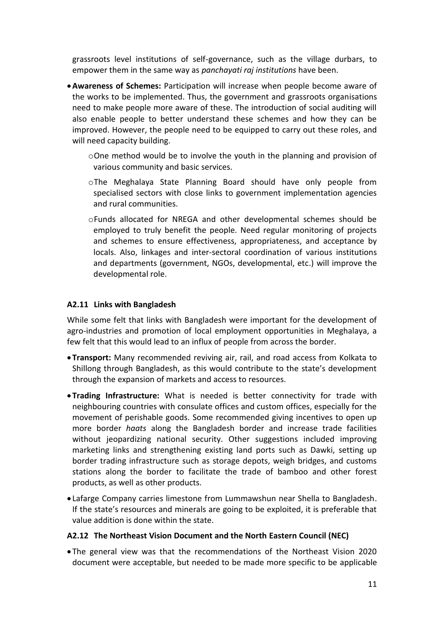grassroots level institutions of self-governance, such as the village durbars, to empower them in the same way as *panchayati raj institutions* have been.

- **Awareness of Schemes:** Participation will increase when people become aware of the works to be implemented. Thus, the government and grassroots organisations need to make people more aware of these. The introduction of social auditing will also enable people to better understand these schemes and how they can be improved. However, the people need to be equipped to carry out these roles, and will need capacity building.
	- oOne method would be to involve the youth in the planning and provision of various community and basic services.
	- oThe Meghalaya State Planning Board should have only people from specialised sectors with close links to government implementation agencies and rural communities.
	- oFunds allocated for NREGA and other developmental schemes should be employed to truly benefit the people. Need regular monitoring of projects and schemes to ensure effectiveness, appropriateness, and acceptance by locals. Also, linkages and inter-sectoral coordination of various institutions and departments (government, NGOs, developmental, etc.) will improve the developmental role.

## **A2.11 Links with Bangladesh**

While some felt that links with Bangladesh were important for the development of agro-industries and promotion of local employment opportunities in Meghalaya, a few felt that this would lead to an influx of people from across the border.

- **Transport:** Many recommended reviving air, rail, and road access from Kolkata to Shillong through Bangladesh, as this would contribute to the state's development through the expansion of markets and access to resources.
- **Trading Infrastructure:** What is needed is better connectivity for trade with neighbouring countries with consulate offices and custom offices, especially for the movement of perishable goods. Some recommended giving incentives to open up more border *haats* along the Bangladesh border and increase trade facilities without jeopardizing national security. Other suggestions included improving marketing links and strengthening existing land ports such as Dawki, setting up border trading infrastructure such as storage depots, weigh bridges, and customs stations along the border to facilitate the trade of bamboo and other forest products, as well as other products.
- Lafarge Company carries limestone from Lummawshun near Shella to Bangladesh. If the state's resources and minerals are going to be exploited, it is preferable that value addition is done within the state.

### **A2.12 The Northeast Vision Document and the North Eastern Council (NEC)**

 The general view was that the recommendations of the Northeast Vision 2020 document were acceptable, but needed to be made more specific to be applicable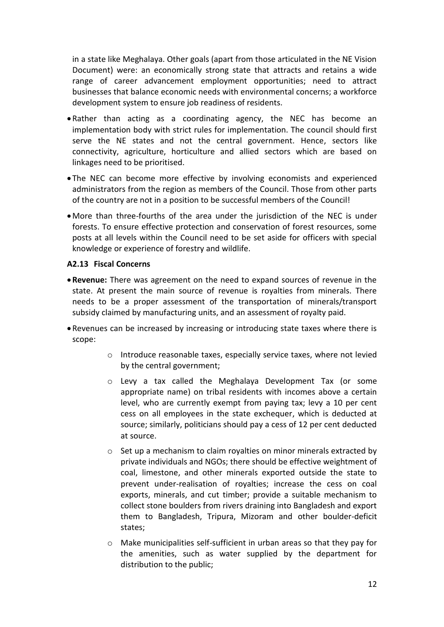in a state like Meghalaya. Other goals (apart from those articulated in the NE Vision Document) were: an economically strong state that attracts and retains a wide range of career advancement employment opportunities; need to attract businesses that balance economic needs with environmental concerns; a workforce development system to ensure job readiness of residents.

- Rather than acting as a coordinating agency, the NEC has become an implementation body with strict rules for implementation. The council should first serve the NE states and not the central government. Hence, sectors like connectivity, agriculture, horticulture and allied sectors which are based on linkages need to be prioritised.
- The NEC can become more effective by involving economists and experienced administrators from the region as members of the Council. Those from other parts of the country are not in a position to be successful members of the Council!
- More than three-fourths of the area under the jurisdiction of the NEC is under forests. To ensure effective protection and conservation of forest resources, some posts at all levels within the Council need to be set aside for officers with special knowledge or experience of forestry and wildlife.

### **A2.13 Fiscal Concerns**

- **Revenue:** There was agreement on the need to expand sources of revenue in the state. At present the main source of revenue is royalties from minerals. There needs to be a proper assessment of the transportation of minerals/transport subsidy claimed by manufacturing units, and an assessment of royalty paid.
- Revenues can be increased by increasing or introducing state taxes where there is scope:
	- o Introduce reasonable taxes, especially service taxes, where not levied by the central government;
	- o Levy a tax called the Meghalaya Development Tax (or some appropriate name) on tribal residents with incomes above a certain level, who are currently exempt from paying tax; levy a 10 per cent cess on all employees in the state exchequer, which is deducted at source; similarly, politicians should pay a cess of 12 per cent deducted at source.
	- $\circ$  Set up a mechanism to claim royalties on minor minerals extracted by private individuals and NGOs; there should be effective weightment of coal, limestone, and other minerals exported outside the state to prevent under-realisation of royalties; increase the cess on coal exports, minerals, and cut timber; provide a suitable mechanism to collect stone boulders from rivers draining into Bangladesh and export them to Bangladesh, Tripura, Mizoram and other boulder-deficit states;
	- o Make municipalities self-sufficient in urban areas so that they pay for the amenities, such as water supplied by the department for distribution to the public;